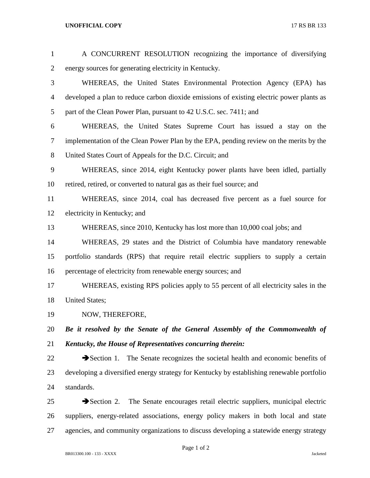## **UNOFFICIAL COPY** 17 RS BR 133

| $\mathbf{1}$   | A CONCURRENT RESOLUTION recognizing the importance of diversifying                              |
|----------------|-------------------------------------------------------------------------------------------------|
| $\overline{2}$ | energy sources for generating electricity in Kentucky.                                          |
| 3              | WHEREAS, the United States Environmental Protection Agency (EPA) has                            |
| $\overline{4}$ | developed a plan to reduce carbon dioxide emissions of existing electric power plants as        |
| 5              | part of the Clean Power Plan, pursuant to 42 U.S.C. sec. 7411; and                              |
| 6              | WHEREAS, the United States Supreme Court has issued a stay on the                               |
| 7              | implementation of the Clean Power Plan by the EPA, pending review on the merits by the          |
| 8              | United States Court of Appeals for the D.C. Circuit; and                                        |
| 9              | WHEREAS, since 2014, eight Kentucky power plants have been idled, partially                     |
| 10             | retired, retired, or converted to natural gas as their fuel source; and                         |
| 11             | WHEREAS, since 2014, coal has decreased five percent as a fuel source for                       |
| 12             | electricity in Kentucky; and                                                                    |
| 13             | WHEREAS, since 2010, Kentucky has lost more than 10,000 coal jobs; and                          |
| 14             | WHEREAS, 29 states and the District of Columbia have mandatory renewable                        |
| 15             | portfolio standards (RPS) that require retail electric suppliers to supply a certain            |
| 16             | percentage of electricity from renewable energy sources; and                                    |
| 17             | WHEREAS, existing RPS policies apply to 55 percent of all electricity sales in the              |
| 18             | <b>United States;</b>                                                                           |
| 19             | NOW, THEREFORE,                                                                                 |
| 20             | Be it resolved by the Senate of the General Assembly of the Commonwealth of                     |
| 21             | Kentucky, the House of Representatives concurring therein:                                      |
| 22             | Section 1. The Senate recognizes the societal health and economic benefits of                   |
| 23             | developing a diversified energy strategy for Kentucky by establishing renewable portfolio       |
| 24             | standards.                                                                                      |
| 25             | The Senate encourages retail electric suppliers, municipal electric<br>$\rightarrow$ Section 2. |
| 26             | suppliers, energy-related associations, energy policy makers in both local and state            |
| 27             | agencies, and community organizations to discuss developing a statewide energy strategy         |

Page 1 of 2